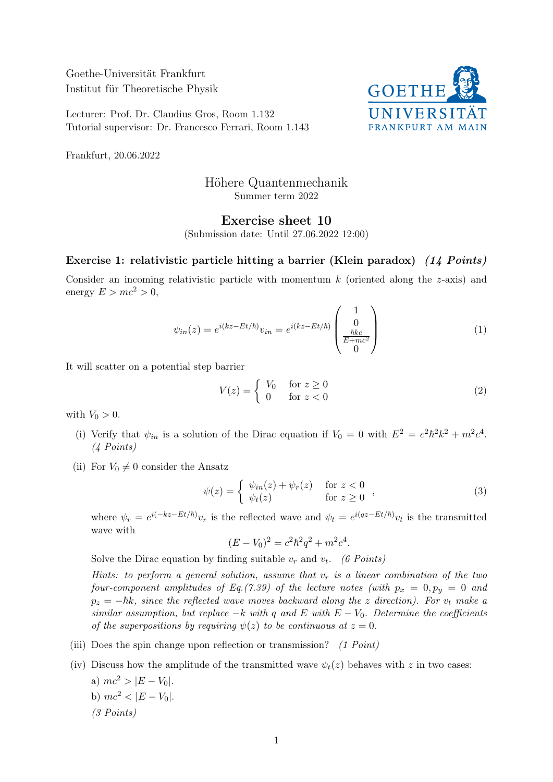Goethe-Universität Frankfurt Institut für Theoretische Physik

Lecturer: Prof. Dr. Claudius Gros, Room 1.132 Tutorial supervisor: Dr. Francesco Ferrari, Room 1.143



Frankfurt, 20.06.2022

## Höhere Quantenmechanik Summer term 2022

## Exercise sheet 10

(Submission date: Until 27.06.2022 12:00)

## Exercise 1: relativistic particle hitting a barrier (Klein paradox) (14 Points)

Consider an incoming relativistic particle with momentum  $k$  (oriented along the z-axis) and energy  $E > mc^2 > 0$ ,

$$
\psi_{in}(z) = e^{i(kz - Et/\hbar)} v_{in} = e^{i(kz - Et/\hbar)} \begin{pmatrix} 1 \\ 0 \\ \frac{\hbar k c}{E + mc^2} \\ 0 \end{pmatrix}
$$
 (1)

It will scatter on a potential step barrier

$$
V(z) = \begin{cases} V_0 & \text{for } z \ge 0 \\ 0 & \text{for } z < 0 \end{cases} \tag{2}
$$

with  $V_0 > 0$ .

- (i) Verify that  $\psi_{in}$  is a solution of the Dirac equation if  $V_0 = 0$  with  $E^2 = c^2 \hbar^2 k^2 + m^2 c^4$ . (4 Points)
- (ii) For  $V_0 \neq 0$  consider the Ansatz

$$
\psi(z) = \begin{cases} \psi_{in}(z) + \psi_r(z) & \text{for } z < 0 \\ \psi_t(z) & \text{for } z \ge 0 \end{cases},
$$
\n(3)

where  $\psi_r = e^{i(-kz - Et/\hbar)} v_r$  is the reflected wave and  $\psi_t = e^{i(qz - Et/\hbar)} v_t$  is the transmitted wave with

$$
(E - V_0)^2 = c^2 \hbar^2 q^2 + m^2 c^4.
$$

Solve the Dirac equation by finding suitable  $v_r$  and  $v_t$ . (6 Points)

Hints: to perform a general solution, assume that  $v_r$  is a linear combination of the two four-component amplitudes of Eq. (7.39) of the lecture notes (with  $p_x = 0, p_y = 0$  and  $p_z = -\hbar k$ , since the reflected wave moves backward along the z direction). For  $v_t$  make a similar assumption, but replace  $-k$  with q and E with  $E - V_0$ . Determine the coefficients of the superpositions by requiring  $\psi(z)$  to be continuous at  $z = 0$ .

- (iii) Does the spin change upon reflection or transmission?  $(1 Point)$
- (iv) Discuss how the amplitude of the transmitted wave  $\psi_t(z)$  behaves with z in two cases:
	- a)  $mc^2 > |E V_0|$ .
	- b)  $mc^2 < |E V_0|$ .
	- (3 Points)